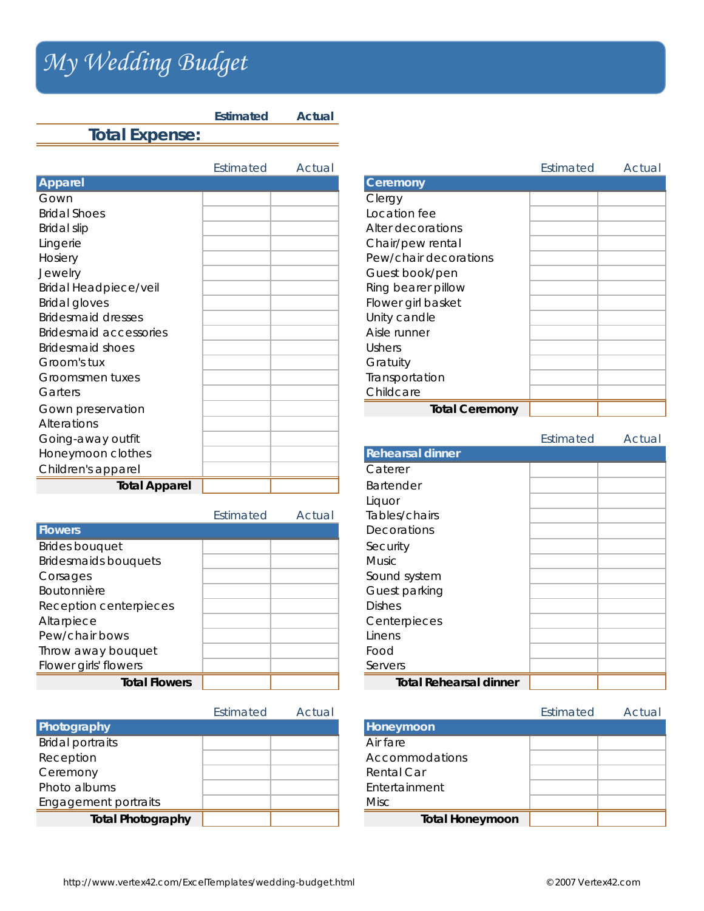## *My Wedding Budget My Wedding Budget*

**Total Expense:**

**Apparel Ceremony** Gown Clergy Bridal Shoes **Location fee** Bridal slip **Alter decorations** Lingerie **Chair/pew rental** Hosiery **Pew/chair decorations** Jewelry **Guest book/pen** Bridal Headpiece/veil  $\parallel$   $\parallel$   $\parallel$  Ring bearer pillow Bridal gloves **Flower girl basket** Bridesmaid dresses and the Unity candle Bridesmaid accessories **Aisle runner** Aisle runner Bridesmaid shoes and the Ushers and the Ushers and the Ushers and Ushers and Ushers Groom's tux Gratuity Groomsmen tuxes and the set of the Transportation Garters and Childcare and Childcare and Childcare Gown preservation **Total Ceremony** Alterations Going-away outfit **Honeymoon clothes** Children's apparel **Total Apparel** 

**Estimated Actual** 

|                             | Estimated | Actual | Tables/chairs                 |
|-----------------------------|-----------|--------|-------------------------------|
| <b>Flowers</b>              |           |        | Decorations                   |
| <b>Brides bouquet</b>       |           |        | Security                      |
| <b>Bridesmaids bouquets</b> |           |        | <b>Music</b>                  |
| Corsages                    |           |        | Sound system                  |
| Boutonnière                 |           |        | Guest parking                 |
| Reception centerpieces      |           |        | <b>Dishes</b>                 |
| Altarpiece                  |           |        | Centerpieces                  |
| Pew/chair bows              |           |        | Linens                        |
| Throw away bouquet          |           |        | Food                          |
| Flower girls' flowers       |           |        | Servers                       |
| <b>Total Flowers</b>        |           |        | <b>Total Rehearsal dinner</b> |

|                          | Estimated | Actual |                        |
|--------------------------|-----------|--------|------------------------|
| Photography              |           |        | Honeymoon              |
| <b>Bridal portraits</b>  |           |        | Air fare               |
| Reception                |           |        | Accommodations         |
| Ceremony                 |           |        | Rental Car             |
| Photo albums             |           |        | Entertainment          |
| Engagement portraits     |           |        | Misc                   |
| <b>Total Photography</b> |           |        | <b>Total Honeymoon</b> |

Estimated Actual Estimated Actual

|                               | Estimated | Actual |
|-------------------------------|-----------|--------|
| <b>Rehearsal dinner</b>       |           |        |
| Caterer                       |           |        |
| <b>Bartender</b>              |           |        |
| Liquor                        |           |        |
| Tables/chairs                 |           |        |
| Decorations                   |           |        |
| Security                      |           |        |
| Music                         |           |        |
| Sound system                  |           |        |
| Guest parking                 |           |        |
| <b>Dishes</b>                 |           |        |
| Centerpieces                  |           |        |
| Linens                        |           |        |
| Food                          |           |        |
| Servers                       |           |        |
| <b>Total Rehearsal dinner</b> |           |        |

| Estimated | Actual |                        | Estimated | Actual |
|-----------|--------|------------------------|-----------|--------|
|           |        | Honeymoon              |           |        |
|           |        | Air fare               |           |        |
|           |        | Accommodations         |           |        |
|           |        | Rental Car             |           |        |
|           |        | Entertainment          |           |        |
|           |        | Misc                   |           |        |
|           |        | <b>Total Honeymoon</b> |           |        |